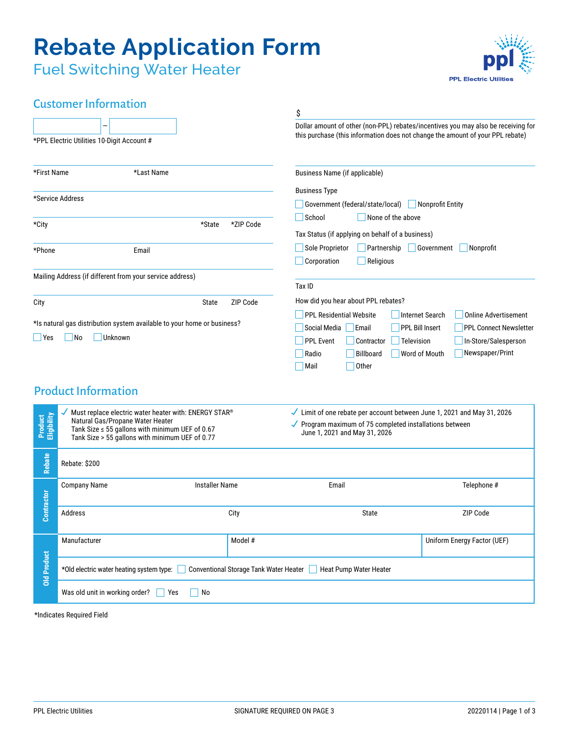# **Rebate Application Form**

Fuel Switching Water Heater



## Customer Information

|                           |                                                                                                                                                                                                                                |           | \$                                                                                                                                                                           |                                  |  |
|---------------------------|--------------------------------------------------------------------------------------------------------------------------------------------------------------------------------------------------------------------------------|-----------|------------------------------------------------------------------------------------------------------------------------------------------------------------------------------|----------------------------------|--|
|                           | *PPL Electric Utilities 10-Digit Account #                                                                                                                                                                                     |           | Dollar amount of other (non-PPL) rebates/incentives you may also be receiving for<br>this purchase (this information does not change the amount of your PPL rebate)          |                                  |  |
| *First Name               | *Last Name                                                                                                                                                                                                                     |           | Business Name (if applicable)                                                                                                                                                |                                  |  |
|                           |                                                                                                                                                                                                                                |           | <b>Business Type</b>                                                                                                                                                         |                                  |  |
| *Service Address          |                                                                                                                                                                                                                                |           | $\Box$ Nonprofit Entity<br>Government (federal/state/local)                                                                                                                  |                                  |  |
|                           |                                                                                                                                                                                                                                |           | School<br>None of the above                                                                                                                                                  |                                  |  |
| *City                     | *State                                                                                                                                                                                                                         | *ZIP Code | Tax Status (if applying on behalf of a business)                                                                                                                             |                                  |  |
|                           |                                                                                                                                                                                                                                |           | Sole Proprietor<br>Partnership                                                                                                                                               | Government<br>Nonprofit          |  |
| *Phone                    | Email                                                                                                                                                                                                                          |           | Corporation<br>Religious                                                                                                                                                     |                                  |  |
|                           | Mailing Address (if different from your service address)                                                                                                                                                                       |           |                                                                                                                                                                              |                                  |  |
|                           |                                                                                                                                                                                                                                |           | Tax ID                                                                                                                                                                       |                                  |  |
| ZIP Code<br>City<br>State |                                                                                                                                                                                                                                |           | How did you hear about PPL rebates?                                                                                                                                          |                                  |  |
|                           | *Is natural gas distribution system available to your home or business?                                                                                                                                                        |           | <b>PPL Residential Website</b><br><b>Internet Search</b><br><b>Online Advertisement</b>                                                                                      |                                  |  |
| <b>Yes</b>                | Unknown<br>$\overline{\mathsf{No}}$                                                                                                                                                                                            |           | Social Media   Email<br><b>PPL Bill Insert</b>                                                                                                                               | <b>PPL Connect Newsletter</b>    |  |
|                           |                                                                                                                                                                                                                                |           | <b>PPL Event</b><br>Contractor<br><b>Television</b>                                                                                                                          | In-Store/Salesperson             |  |
|                           |                                                                                                                                                                                                                                |           | Billboard<br>Radio                                                                                                                                                           | Newspaper/Print<br>Word of Mouth |  |
|                           |                                                                                                                                                                                                                                |           | Other<br>Mail                                                                                                                                                                |                                  |  |
|                           | <b>Product Information</b>                                                                                                                                                                                                     |           |                                                                                                                                                                              |                                  |  |
|                           | Must replace electric water heater with: ENERGY STAR®<br>Product<br>Eligibility<br>Natural Gas/Propane Water Heater<br>Tank Size $\leq$ 55 gallons with minimum UEF of 0.67<br>Tank Size > 55 gallons with minimum UEF of 0.77 |           | Limit of one rebate per account between June 1, 2021 and May 31, 2026<br>$\checkmark$ Program maximum of 75 completed installations between<br>June 1, 2021 and May 31, 2026 |                                  |  |
|                           |                                                                                                                                                                                                                                |           |                                                                                                                                                                              |                                  |  |
|                           |                                                                                                                                                                                                                                |           |                                                                                                                                                                              |                                  |  |
| <b>Rebate</b>             | Rebate: \$200                                                                                                                                                                                                                  |           |                                                                                                                                                                              |                                  |  |
|                           | <b>Company Name</b><br><b>Installer Name</b>                                                                                                                                                                                   |           | Email                                                                                                                                                                        | Telephone #                      |  |
|                           |                                                                                                                                                                                                                                |           |                                                                                                                                                                              |                                  |  |
| Contractor                | Address                                                                                                                                                                                                                        | City      | State                                                                                                                                                                        | ZIP Code                         |  |
|                           | Manufacturer                                                                                                                                                                                                                   | Model #   |                                                                                                                                                                              | Uniform Energy Factor (UEF)      |  |
| <b>Old Product</b>        |                                                                                                                                                                                                                                |           |                                                                                                                                                                              |                                  |  |
|                           | Conventional Storage Tank Water Heater<br>*Old electric water heating system type:<br>Heat Pump Water Heater                                                                                                                   |           |                                                                                                                                                                              |                                  |  |
|                           | Was old unit in working order?<br>  Yes<br>No                                                                                                                                                                                  |           |                                                                                                                                                                              |                                  |  |
|                           | *Indicates Required Field                                                                                                                                                                                                      |           |                                                                                                                                                                              |                                  |  |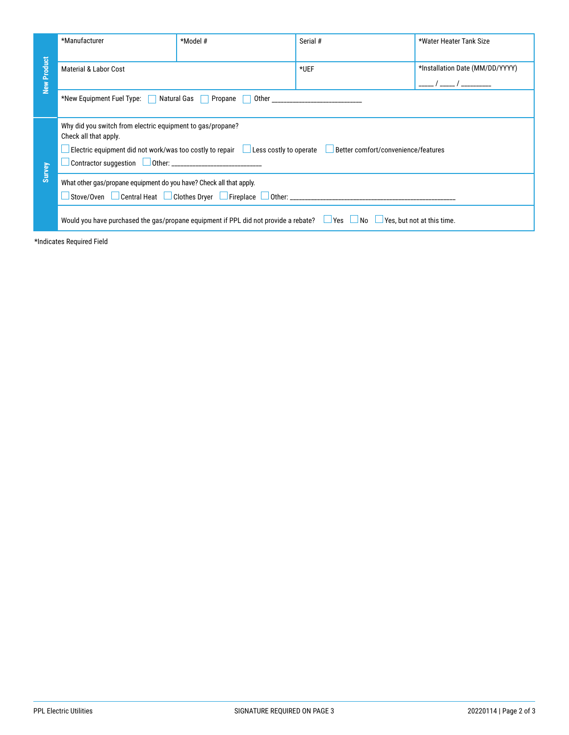|                           | *Manufacturer                                                                                                                                                                                              | $*$ Model #                  | Serial # | *Water Heater Tank Size                                       |  |  |  |
|---------------------------|------------------------------------------------------------------------------------------------------------------------------------------------------------------------------------------------------------|------------------------------|----------|---------------------------------------------------------------|--|--|--|
| <b>New Product</b>        | Material & Labor Cost                                                                                                                                                                                      |                              | $*UEF$   | *Installation Date (MM/DD/YYYY)<br>_____ / _____ / __________ |  |  |  |
|                           | *New Equipment Fuel Type:<br><b>Natural Gas</b><br>Propane<br>Other and the contract of the contract of the contract of the contract of the contract of the contract of the<br>$\mathbf{1}$                |                              |          |                                                               |  |  |  |
| Survey                    | Why did you switch from electric equipment to gas/propane?<br>Check all that apply.<br>Electric equipment did not work/was too costly to repair Less costly to operate Better comfort/convenience/features |                              |          |                                                               |  |  |  |
|                           | What other gas/propane equipment do you have? Check all that apply.                                                                                                                                        |                              |          |                                                               |  |  |  |
|                           | Would you have purchased the gas/propane equipment if PPL did not provide a rebate? $\Box$ Yes $\Box$ No $\Box$ Yes, but not at this time.                                                                 |                              |          |                                                               |  |  |  |
| *Indicates Required Field |                                                                                                                                                                                                            |                              |          |                                                               |  |  |  |
|                           |                                                                                                                                                                                                            |                              |          |                                                               |  |  |  |
|                           |                                                                                                                                                                                                            |                              |          |                                                               |  |  |  |
|                           |                                                                                                                                                                                                            |                              |          |                                                               |  |  |  |
|                           |                                                                                                                                                                                                            |                              |          |                                                               |  |  |  |
|                           |                                                                                                                                                                                                            |                              |          |                                                               |  |  |  |
|                           |                                                                                                                                                                                                            |                              |          |                                                               |  |  |  |
|                           |                                                                                                                                                                                                            |                              |          |                                                               |  |  |  |
|                           |                                                                                                                                                                                                            |                              |          |                                                               |  |  |  |
|                           |                                                                                                                                                                                                            |                              |          |                                                               |  |  |  |
|                           |                                                                                                                                                                                                            |                              |          |                                                               |  |  |  |
|                           |                                                                                                                                                                                                            |                              |          |                                                               |  |  |  |
|                           |                                                                                                                                                                                                            |                              |          |                                                               |  |  |  |
|                           |                                                                                                                                                                                                            |                              |          |                                                               |  |  |  |
|                           |                                                                                                                                                                                                            |                              |          |                                                               |  |  |  |
|                           |                                                                                                                                                                                                            |                              |          |                                                               |  |  |  |
|                           |                                                                                                                                                                                                            |                              |          |                                                               |  |  |  |
|                           |                                                                                                                                                                                                            |                              |          |                                                               |  |  |  |
|                           |                                                                                                                                                                                                            |                              |          |                                                               |  |  |  |
|                           |                                                                                                                                                                                                            |                              |          |                                                               |  |  |  |
|                           | <b>PPL Electric Utilities</b>                                                                                                                                                                              | SIGNATURE REQUIRED ON PAGE 3 |          | 20220114   Page 2 of 3                                        |  |  |  |